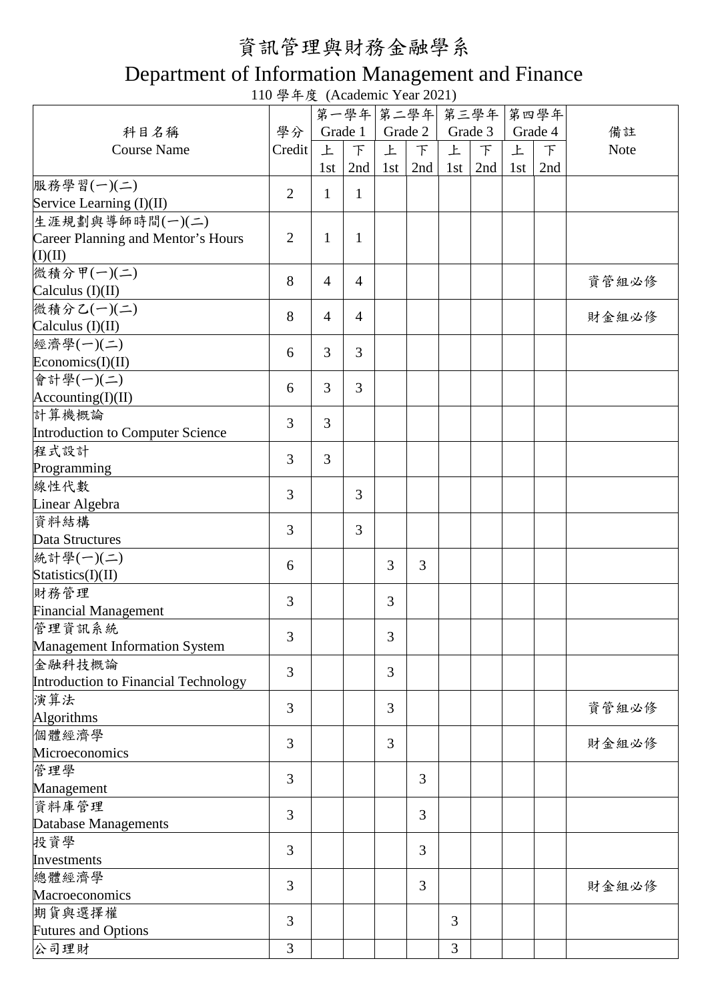# 資訊管理與財務金融學系

### Department of Information Management and Finance

110 學年度 (Academic Year 2021)

|                                      |                |                |                |     | 第一學年 第二學年 第三學年 |         |        |     | 第四學年    |             |
|--------------------------------------|----------------|----------------|----------------|-----|----------------|---------|--------|-----|---------|-------------|
|                                      |                |                |                |     |                |         |        |     |         |             |
| 科目名稱                                 | 學分             |                | Grade 1        |     | Grade 2        | Grade 3 |        |     | Grade 4 | 備註          |
| <b>Course Name</b>                   | Credit         | 上              | $\top$         | 上   | $\top$         | 上       | $\top$ | 上   | $\top$  | <b>Note</b> |
|                                      |                | 1st            | 2nd            | 1st | 2nd            | 1st     | 2nd    | 1st | 2nd     |             |
| 服務學習(一)(二)                           | $\overline{2}$ | $\mathbf{1}$   | $\mathbf{1}$   |     |                |         |        |     |         |             |
| Service Learning (I)(II)             |                |                |                |     |                |         |        |     |         |             |
| 生涯規劃與導師時間(一)(二)                      |                |                |                |     |                |         |        |     |         |             |
| Career Planning and Mentor's Hours   | $\overline{2}$ | $\mathbf{1}$   | $\mathbf{1}$   |     |                |         |        |     |         |             |
| (I)(II)                              |                |                |                |     |                |         |        |     |         |             |
| 微積分甲(一)(二)                           |                |                |                |     |                |         |        |     |         |             |
|                                      | 8              | $\overline{4}$ | $\overline{4}$ |     |                |         |        |     |         | 資管組必修       |
| Calculus $(I)(II)$                   |                |                |                |     |                |         |        |     |         |             |
| 微積分乙(一)(二)                           | 8              | $\overline{4}$ | $\overline{4}$ |     |                |         |        |     |         | 財金組必修       |
| Calculus (I)(II)                     |                |                |                |     |                |         |        |     |         |             |
| 經濟學(一)(二)                            | 6              | 3              | 3              |     |                |         |        |     |         |             |
| Economics(I)(II)                     |                |                |                |     |                |         |        |     |         |             |
| 會計學(一)(二)                            |                |                |                |     |                |         |        |     |         |             |
| $\text{Accounting(I)(II)}$           | 6              | 3              | 3              |     |                |         |        |     |         |             |
| 計算機概論                                |                |                |                |     |                |         |        |     |         |             |
|                                      | 3              | 3              |                |     |                |         |        |     |         |             |
| Introduction to Computer Science     |                |                |                |     |                |         |        |     |         |             |
| 程式設計                                 | 3              | 3              |                |     |                |         |        |     |         |             |
| Programming                          |                |                |                |     |                |         |        |     |         |             |
| 線性代數                                 | 3              |                | 3              |     |                |         |        |     |         |             |
| Linear Algebra                       |                |                |                |     |                |         |        |     |         |             |
| 資料結構                                 |                |                |                |     |                |         |        |     |         |             |
| Data Structures                      | 3              |                | $\overline{3}$ |     |                |         |        |     |         |             |
| 統計學(一)(二)                            |                |                |                |     |                |         |        |     |         |             |
| Statistics(I)(II)                    | 6              |                |                | 3   | 3              |         |        |     |         |             |
| 財務管理                                 |                |                |                |     |                |         |        |     |         |             |
|                                      | 3              |                |                | 3   |                |         |        |     |         |             |
| <b>Financial Management</b>          |                |                |                |     |                |         |        |     |         |             |
| 管理資訊系統                               | 3              |                |                | 3   |                |         |        |     |         |             |
| <b>Management Information System</b> |                |                |                |     |                |         |        |     |         |             |
| 金融科技概論                               | 3              |                |                | 3   |                |         |        |     |         |             |
| Introduction to Financial Technology |                |                |                |     |                |         |        |     |         |             |
| 演算法                                  |                |                |                |     |                |         |        |     |         |             |
| Algorithms                           | 3              |                |                | 3   |                |         |        |     |         | 資管組必修       |
| 個體經濟學                                |                |                |                |     |                |         |        |     |         |             |
| Microeconomics                       | 3              |                |                | 3   |                |         |        |     |         | 財金組必修       |
|                                      |                |                |                |     |                |         |        |     |         |             |
| 管理學                                  | 3              |                |                |     | 3              |         |        |     |         |             |
| Management                           |                |                |                |     |                |         |        |     |         |             |
| 資料庫管理                                | 3              |                |                |     | 3              |         |        |     |         |             |
| Database Managements                 |                |                |                |     |                |         |        |     |         |             |
| 投資學                                  |                |                |                |     |                |         |        |     |         |             |
| Investments                          | $\overline{3}$ |                |                |     | 3              |         |        |     |         |             |
| 總體經濟學                                |                |                |                |     |                |         |        |     |         |             |
| Macroeconomics                       | 3              |                |                |     | 3              |         |        |     |         | 財金組必修       |
|                                      |                |                |                |     |                |         |        |     |         |             |
| 期貨與選擇權                               | 3              |                |                |     |                | 3       |        |     |         |             |
| <b>Futures and Options</b>           |                |                |                |     |                |         |        |     |         |             |
| 公司理財                                 | 3              |                |                |     |                | 3       |        |     |         |             |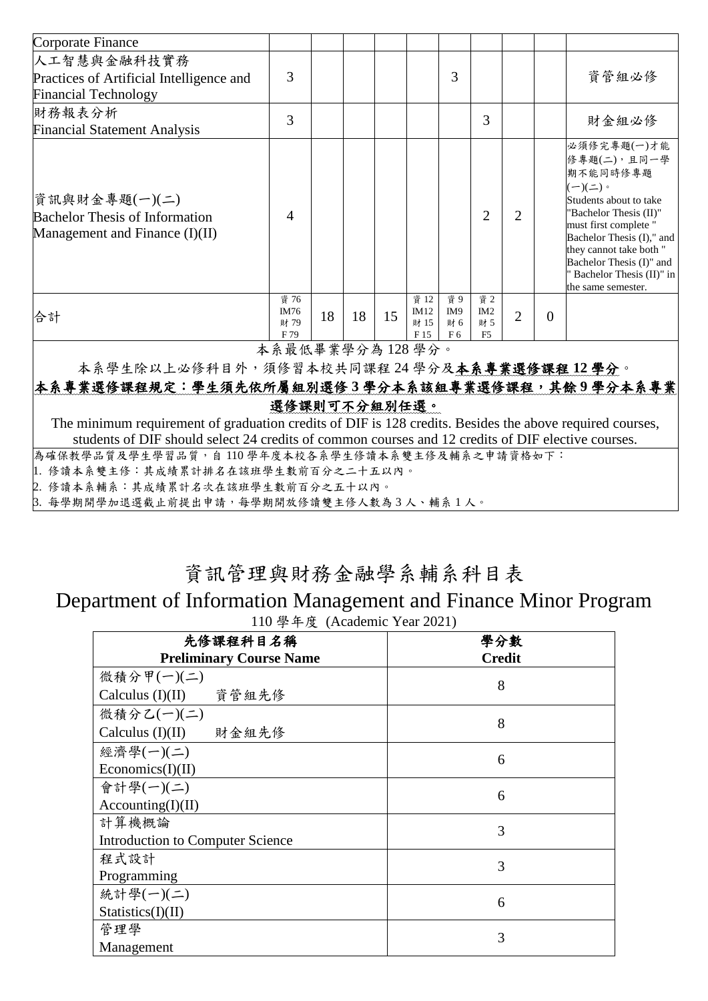| Corporate Finance                                                                        |                             |    |    |    |                              |                                                 |                                     |                |                |                                                                                                                                                                                                                                                                                       |
|------------------------------------------------------------------------------------------|-----------------------------|----|----|----|------------------------------|-------------------------------------------------|-------------------------------------|----------------|----------------|---------------------------------------------------------------------------------------------------------------------------------------------------------------------------------------------------------------------------------------------------------------------------------------|
| 人工智慧與金融科技實務<br>Practices of Artificial Intelligence and<br><b>Financial Technology</b>   | 3                           |    |    |    |                              | 3                                               |                                     |                |                | 資管組必修                                                                                                                                                                                                                                                                                 |
| 財務報表分析<br><b>Financial Statement Analysis</b>                                            | 3                           |    |    |    |                              |                                                 | 3                                   |                |                | 財金組必修                                                                                                                                                                                                                                                                                 |
| 資訊與財金專題(一)(二)<br><b>Bachelor Thesis of Information</b><br>Management and Finance (I)(II) | 4                           |    |    |    |                              |                                                 | $\mathcal{D}_{\mathcal{L}}$         | $\overline{2}$ |                | 必須修完專題(一)才能<br>修專題(二),且同一學<br>期不能同時修專題<br>$(-)(\rightharpoonup)$ 。<br>Students about to take<br>"Bachelor Thesis (II)"<br>must first complete "<br>Bachelor Thesis (I)," and<br>they cannot take both "<br>Bachelor Thesis (I)" and<br>Bachelor Thesis (II)" in<br>the same semester. |
| 合計                                                                                       | 資 76<br>IM76<br>財 79<br>F79 | 18 | 18 | 15 | 資 12<br>IM12<br>財 15<br>F 15 | 資 9<br>IM <sub>9</sub><br>財 6<br>F <sub>6</sub> | 資 2<br>IM2<br>財 5<br>F <sub>5</sub> | $\overline{2}$ | $\overline{0}$ |                                                                                                                                                                                                                                                                                       |

本系最低畢業學分為 128 學分。

本系學生除以上必修科目外,須修習本校共同課程 24 學分及本系專業選修課程 **12** 學分。

#### 本系專業選修課程規定:學生須先依所屬組別選修 **3** 學分本系該組專業選修課程,其餘 **9** 學分本系專業 選修課則可不分組別任選。

The minimum requirement of graduation credits of DIF is 128 credits. Besides the above required courses, students of DIF should select 24 credits of common courses and 12 credits of DIF elective courses.

為確保教學品質及學生學習品質,自 110 學年度本校各系學生修讀本系雙主修及輔系之申請資格如下:

1. 修讀本系雙主修:其成績累計排名在該班學生數前百分之二十五以內。

2. 修讀本系輔系:其成績累計名次在該班學生數前百分之五十以內。

3. 每學期開學加退選截止前提出申請,每學期開放修讀雙主修人數為 3 人、輔系 1 人。

### 資訊管理與財務金融學系輔系科目表

## Department of Information Management and Finance Minor Program

110 學年度 (Academic Year 2021)

| 先修課程科目名稱                                | 學分數           |  |  |  |  |  |  |
|-----------------------------------------|---------------|--|--|--|--|--|--|
| <b>Preliminary Course Name</b>          | <b>Credit</b> |  |  |  |  |  |  |
| 微積分甲(一)(二)                              |               |  |  |  |  |  |  |
| Calculus (I)(II) 資管組先修                  | 8             |  |  |  |  |  |  |
| 微積分乙(一)(二)                              |               |  |  |  |  |  |  |
| Calculus (I)(II) 財金組先修                  | 8             |  |  |  |  |  |  |
| 經濟學(一)(二)                               | 6             |  |  |  |  |  |  |
| Economics(I)(II)                        |               |  |  |  |  |  |  |
| 會計學(一)(二)                               | 6             |  |  |  |  |  |  |
| According(I)(II)                        |               |  |  |  |  |  |  |
| 計算機概論                                   | 3             |  |  |  |  |  |  |
| <b>Introduction to Computer Science</b> |               |  |  |  |  |  |  |
| 程式設計                                    | 3             |  |  |  |  |  |  |
| Programming                             |               |  |  |  |  |  |  |
| 統計學(一)(二)                               | 6             |  |  |  |  |  |  |
| Statistics(I)(II)                       |               |  |  |  |  |  |  |
| 管理學                                     | 3             |  |  |  |  |  |  |
| Management                              |               |  |  |  |  |  |  |